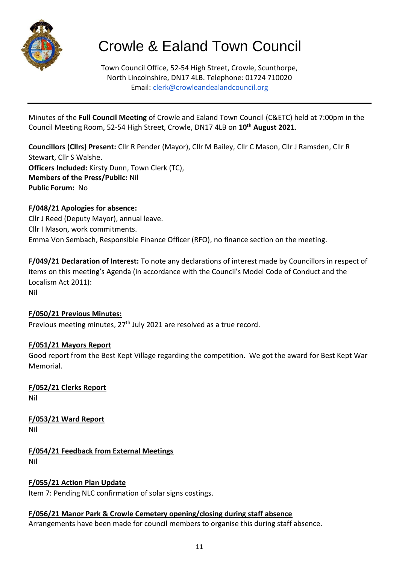

# Crowle & Ealand Town Council

Town Council Office, 52-54 High Street, Crowle, Scunthorpe, North Lincolnshire, DN17 4LB. Telephone: 01724 710020 Email: clerk@crowleandealandcouncil.org

Minutes of the **Full Council Meeting** of Crowle and Ealand Town Council (C&ETC) held at 7:00pm in the Council Meeting Room, 52-54 High Street, Crowle, DN17 4LB on **10 th August 2021**.

**Councillors (Cllrs) Present:** Cllr R Pender (Mayor), Cllr M Bailey, Cllr C Mason, Cllr J Ramsden, Cllr R Stewart, Cllr S Walshe. **Officers Included:** Kirsty Dunn, Town Clerk (TC), **Members of the Press/Public:** Nil **Public Forum:** No

## **F/048/21 Apologies for absence:**

Cllr J Reed (Deputy Mayor), annual leave. Cllr I Mason, work commitments. Emma Von Sembach, Responsible Finance Officer (RFO), no finance section on the meeting.

**F/049/21 Declaration of Interest:** To note any declarations of interest made by Councillors in respect of items on this meeting's Agenda (in accordance with the Council's Model Code of Conduct and the Localism Act 2011): Nil

## **F/050/21 Previous Minutes:**

Previous meeting minutes, 27<sup>th</sup> July 2021 are resolved as a true record.

## **F/051/21 Mayors Report**

Good report from the Best Kept Village regarding the competition. We got the award for Best Kept War Memorial.

**F/052/21 Clerks Report** Nil

**F/053/21 Ward Report** Nil

**F/054/21 Feedback from External Meetings** Nil

**F/055/21 Action Plan Update**

Item 7: Pending NLC confirmation of solar signs costings.

## **F/056/21 Manor Park & Crowle Cemetery opening/closing during staff absence**

Arrangements have been made for council members to organise this during staff absence.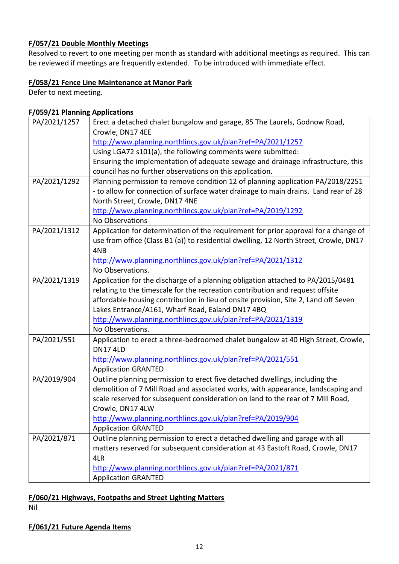#### **F/057/21 Double Monthly Meetings**

Resolved to revert to one meeting per month as standard with additional meetings as required. This can be reviewed if meetings are frequently extended. To be introduced with immediate effect.

#### **F/058/21 Fence Line Maintenance at Manor Park**

Defer to next meeting.

#### **F/059/21 Planning Applications**

| PA/2021/1257 | Erect a detached chalet bungalow and garage, 85 The Laurels, Godnow Road,                                                  |  |  |  |
|--------------|----------------------------------------------------------------------------------------------------------------------------|--|--|--|
|              | Crowle, DN17 4EE                                                                                                           |  |  |  |
|              | http://www.planning.northlincs.gov.uk/plan?ref=PA/2021/1257<br>Using LGA72 s101(a), the following comments were submitted: |  |  |  |
|              |                                                                                                                            |  |  |  |
|              | Ensuring the implementation of adequate sewage and drainage infrastructure, this                                           |  |  |  |
|              | council has no further observations on this application.                                                                   |  |  |  |
| PA/2021/1292 | Planning permission to remove condition 12 of planning application PA/2018/2251                                            |  |  |  |
|              | - to allow for connection of surface water drainage to main drains. Land rear of 28                                        |  |  |  |
|              | North Street, Crowle, DN17 4NE                                                                                             |  |  |  |
|              | http://www.planning.northlincs.gov.uk/plan?ref=PA/2019/1292                                                                |  |  |  |
|              | No Observations                                                                                                            |  |  |  |
| PA/2021/1312 | Application for determination of the requirement for prior approval for a change of                                        |  |  |  |
|              | use from office (Class B1 (a)) to residential dwelling, 12 North Street, Crowle, DN17                                      |  |  |  |
|              | 4NB                                                                                                                        |  |  |  |
|              | http://www.planning.northlincs.gov.uk/plan?ref=PA/2021/1312                                                                |  |  |  |
|              | No Observations.                                                                                                           |  |  |  |
| PA/2021/1319 | Application for the discharge of a planning obligation attached to PA/2015/0481                                            |  |  |  |
|              | relating to the timescale for the recreation contribution and request offsite                                              |  |  |  |
|              | affordable housing contribution in lieu of onsite provision, Site 2, Land off Seven                                        |  |  |  |
|              | Lakes Entrance/A161, Wharf Road, Ealand DN17 4BQ                                                                           |  |  |  |
|              | http://www.planning.northlincs.gov.uk/plan?ref=PA/2021/1319                                                                |  |  |  |
|              | No Observations.                                                                                                           |  |  |  |
| PA/2021/551  | Application to erect a three-bedroomed chalet bungalow at 40 High Street, Crowle,                                          |  |  |  |
|              | <b>DN17 4LD</b>                                                                                                            |  |  |  |
|              | http://www.planning.northlincs.gov.uk/plan?ref=PA/2021/551                                                                 |  |  |  |
|              | <b>Application GRANTED</b>                                                                                                 |  |  |  |
| PA/2019/904  | Outline planning permission to erect five detached dwellings, including the                                                |  |  |  |
|              | demolition of 7 Mill Road and associated works, with appearance, landscaping and                                           |  |  |  |
|              | scale reserved for subsequent consideration on land to the rear of 7 Mill Road,                                            |  |  |  |
|              | Crowle, DN17 4LW                                                                                                           |  |  |  |
|              | http://www.planning.northlincs.gov.uk/plan?ref=PA/2019/904                                                                 |  |  |  |
|              | <b>Application GRANTED</b>                                                                                                 |  |  |  |
| PA/2021/871  | Outline planning permission to erect a detached dwelling and garage with all                                               |  |  |  |
|              | matters reserved for subsequent consideration at 43 Eastoft Road, Crowle, DN17                                             |  |  |  |
|              | 4LR                                                                                                                        |  |  |  |
|              | http://www.planning.northlincs.gov.uk/plan?ref=PA/2021/871                                                                 |  |  |  |
|              | <b>Application GRANTED</b>                                                                                                 |  |  |  |

## **F/060/21 Highways, Footpaths and Street Lighting Matters**

Nil